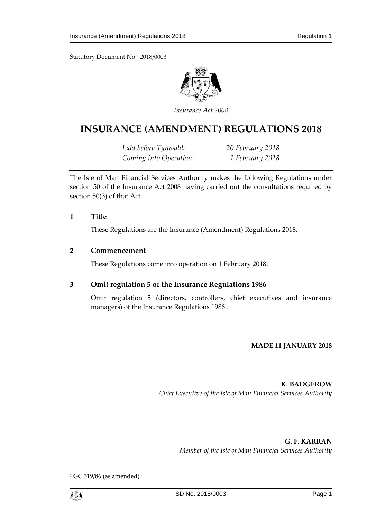Statutory Document No. 2018/0003



*Insurance Act 2008*

# **INSURANCE (AMENDMENT) REGULATIONS 2018**

*Laid before Tynwald: 20 February 2018 Coming into Operation: 1 February 2018*

The Isle of Man Financial Services Authority makes the following Regulations under section 50 of the Insurance Act 2008 having carried out the consultations required by section 50(3) of that Act.

### **1 Title**

These Regulations are the Insurance (Amendment) Regulations 2018.

### **2 Commencement**

These Regulations come into operation on 1 February 2018.

## **3 Omit regulation 5 of the Insurance Regulations 1986**

Omit regulation 5 (directors, controllers, chief executives and insurance managers) of the Insurance Regulations 1986<sup>1</sup> .

### **MADE 11 JANUARY 2018**

**K. BADGEROW** *Chief Executive of the Isle of Man Financial Services Authority*

> **G. F. KARRAN** *Member of the Isle of Man Financial Services Authority*

<sup>1</sup> GC 319/86 (as amended)



 $\overline{a}$